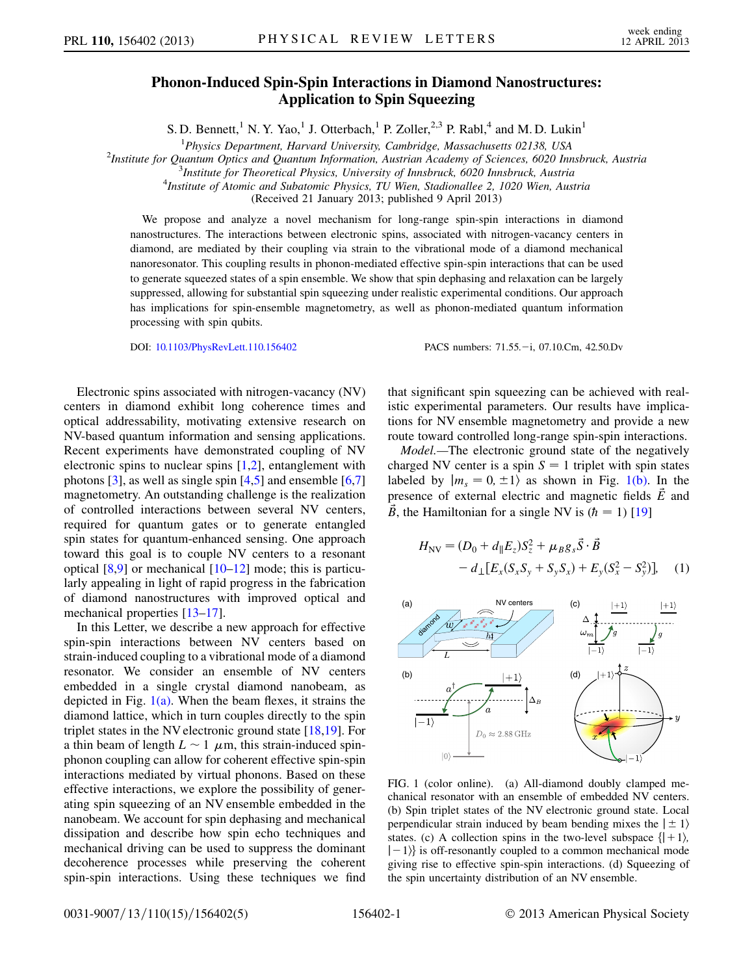## Phonon-Induced Spin-Spin Interactions in Diamond Nanostructures: Application to Spin Squeezing

S. D. Bennett,<sup>1</sup> N. Y. Yao,<sup>1</sup> J. Otterbach,<sup>1</sup> P. Zoller,<sup>2,3</sup> P. Rabl,<sup>4</sup> and M. D. Lukin<sup>1</sup>

<sup>1</sup> Physics Department, Harvard University, Cambridge, Massachusetts 02138, USA<sup>2</sup><br><sup>2</sup>Institute for Quantum Optics and Quantum Information, Austrian Academy of Sciences, 6020 Inc

<sup>2</sup>Institute for Quantum Optics and Quantum Information, Austrian Academy of Sciences, 6020 Innsbruck, Austria

 $3$ Institute for Theoretical Physics, University of Innsbruck, 6020 Innsbruck, Austria

 $^{4}$ Institute of Atomic and Subatomic Physics, TU Wien, Stadionallee 2, 1020 Wien, Austria

(Received 21 January 2013; published 9 April 2013)

We propose and analyze a novel mechanism for long-range spin-spin interactions in diamond nanostructures. The interactions between electronic spins, associated with nitrogen-vacancy centers in diamond, are mediated by their coupling via strain to the vibrational mode of a diamond mechanical nanoresonator. This coupling results in phonon-mediated effective spin-spin interactions that can be used to generate squeezed states of a spin ensemble. We show that spin dephasing and relaxation can be largely suppressed, allowing for substantial spin squeezing under realistic experimental conditions. Our approach has implications for spin-ensemble magnetometry, as well as phonon-mediated quantum information processing with spin qubits.

DOI: [10.1103/PhysRevLett.110.156402](http://dx.doi.org/10.1103/PhysRevLett.110.156402) PACS numbers: 71.55. -i, 07.10.Cm, 42.50.Dv

Electronic spins associated with nitrogen-vacancy (NV) centers in diamond exhibit long coherence times and optical addressability, motivating extensive research on NV-based quantum information and sensing applications. Recent experiments have demonstrated coupling of NV electronic spins to nuclear spins [[1](#page-4-0),[2\]](#page-4-1), entanglement with photons  $[3]$  $[3]$  $[3]$ , as well as single spin  $[4,5]$  $[4,5]$  $[4,5]$  and ensemble  $[6,7]$  $[6,7]$  $[6,7]$ magnetometry. An outstanding challenge is the realization of controlled interactions between several NV centers, required for quantum gates or to generate entangled spin states for quantum-enhanced sensing. One approach toward this goal is to couple NV centers to a resonant optical [\[8,](#page-4-7)[9](#page-4-8)] or mechanical [[10](#page-4-9)[–12\]](#page-4-10) mode; this is particularly appealing in light of rapid progress in the fabrication of diamond nanostructures with improved optical and mechanical properties [\[13–](#page-4-11)[17](#page-4-12)].

In this Letter, we describe a new approach for effective spin-spin interactions between NV centers based on strain-induced coupling to a vibrational mode of a diamond resonator. We consider an ensemble of NV centers embedded in a single crystal diamond nanobeam, as depicted in Fig.  $1(a)$ . When the beam flexes, it strains the diamond lattice, which in turn couples directly to the spin triplet states in the NV electronic ground state [\[18](#page-4-13)[,19\]](#page-4-14). For a thin beam of length  $L \sim 1$   $\mu$ m, this strain-induced spin-<br>phonon coupling can allow for coherent effective spin-spin phonon coupling can allow for coherent effective spin-spin interactions mediated by virtual phonons. Based on these effective interactions, we explore the possibility of generating spin squeezing of an NV ensemble embedded in the nanobeam. We account for spin dephasing and mechanical dissipation and describe how spin echo techniques and mechanical driving can be used to suppress the dominant decoherence processes while preserving the coherent spin-spin interactions. Using these techniques we find

that significant spin squeezing can be achieved with realistic experimental parameters. Our results have implications for NV ensemble magnetometry and provide a new route toward controlled long-range spin-spin interactions.

Model.—The electronic ground state of the negatively charged NV center is a spin  $S = 1$  triplet with spin states labeled by  $|m_s = 0, \pm 1\rangle$  as shown in Fig. [1\(b\).](#page-0-0) In the presence of external electric and magnetic fields  $\vec{E}$  and  $\vec{B}$ , the Hamiltonian for a single NV is  $(\hbar = 1)$  [[19](#page-4-14)]

$$
H_{\rm NV} = (D_0 + d_{\parallel} E_z) S_z^2 + \mu_B g_s \vec{S} \cdot \vec{B} - d_{\perp} [E_x (S_x S_y + S_y S_x) + E_y (S_x^2 - S_y^2)], \quad (1)
$$



<span id="page-0-0"></span>FIG. 1 (color online). (a) All-diamond doubly clamped mechanical resonator with an ensemble of embedded NV centers. (b) Spin triplet states of the NV electronic ground state. Local perpendicular strain induced by beam bending mixes the  $|\pm 1\rangle$ states. (c) A collection spins in the two-level subspace  $\{ \vert +1 \rangle$ ,  $|-1\rangle$  is off-resonantly coupled to a common mechanical mode giving rise to effective spin-spin interactions. (d) Squeezing of the spin uncertainty distribution of an NV ensemble.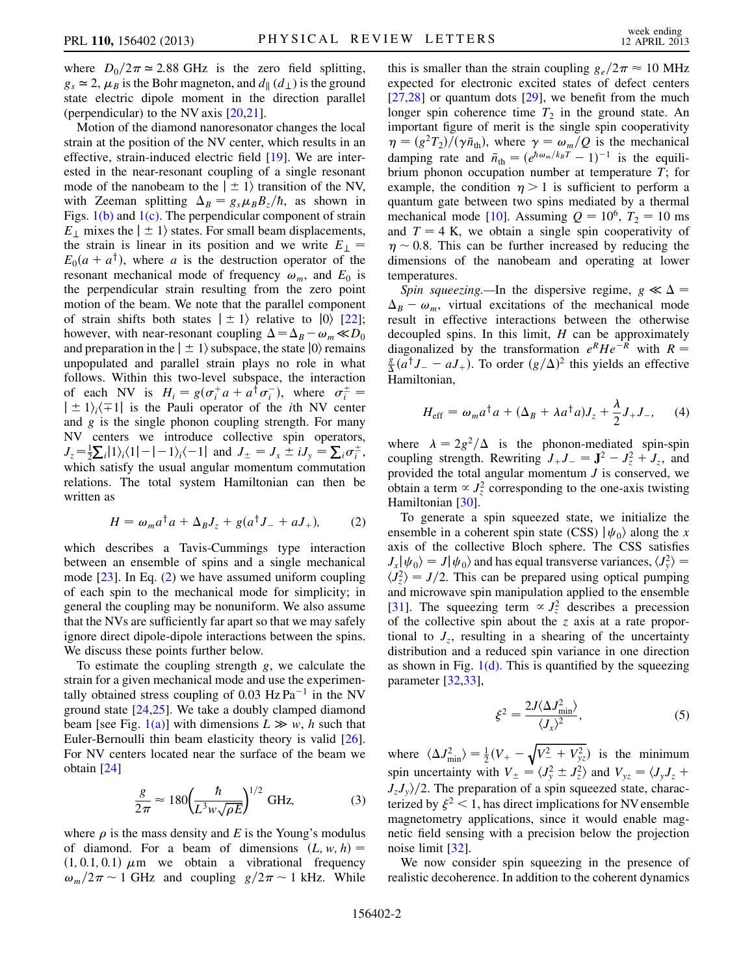where  $D_0/2\pi \approx 2.88$  GHz is the zero field splitting,<br> $g \approx 2$ ,  $\mu_B$  is the Bohr magneton and  $d_{\mu}(d_{\mu})$  is the ground  $g_s \approx 2$ ,  $\mu_B$  is the Bohr magneton, and  $d_{\parallel}$  ( $d_{\perp}$ ) is the ground state electric dipole moment in the direction parallel (perpendicular) to the NV axis [\[20,](#page-4-15)[21\]](#page-4-16).

Motion of the diamond nanoresonator changes the local strain at the position of the NV center, which results in an effective, strain-induced electric field [[19\]](#page-4-14). We are interested in the near-resonant coupling of a single resonant mode of the nanobeam to the  $|\pm 1\rangle$  transition of the NV, with Zeeman splitting  $\Delta_B = g_s \mu_B B_z/\hbar$ , as shown in Figs. [1\(b\)](#page-0-0) and [1\(c\)](#page-0-0). The perpendicular component of strain  $E_{\perp}$  mixes the  $|\pm 1\rangle$  states. For small beam displacements, the strain is linear in its position and we write  $E_{\perp}$  =  $E_0(a + a^{\dagger})$ , where a is the destruction operator of the resonant mechanical mode of frequency  $\omega_m$ , and  $E_0$  is the perpendicular strain resulting from the zero point motion of the beam. We note that the parallel component of strain shifts both states  $|\pm 1\rangle$  relative to  $|0\rangle$  [\[22\]](#page-4-17); however, with near-resonant coupling  $\Delta = \Delta_B - \omega_m \ll D_0$ and preparation in the  $\vert \pm 1\rangle$  subspace, the state  $\vert 0\rangle$  remains unpopulated and parallel strain plays no role in what follows. Within this two-level subspace, the interaction of each NV is  $H_i = g(\sigma_i^+ a + a^\dagger \sigma_i^-)$ , where  $\sigma_i^{\pm}$ <br> $+1$ .  $\pm 1$  is the Pauli operator of the *i*th NV cen of each inv is  $H_i = g(\sigma_i a + a \sigma_i)$ , where  $\sigma_i =$ <br> $|\pm 1\rangle_i \langle \mp 1|$  is the Pauli operator of the *i*th NV center<br>and *g* is the single phonon coupling strength. For many and  $g$  is the single phonon coupling strength. For many NV centers we introduce collective spin operators,  $J_z = \frac{1}{2} \sum_i |1\rangle_i \langle 1| - |-1\rangle_i \langle -1|$  and  $J_{\pm} = J_x \pm iJ_y = \sum_i \sigma_i^{\pm}$ , which satisfy the usual angular momentum commutation relations. The total system Hamiltonian can then be written as

$$
H = \omega_m a^{\dagger} a + \Delta_B J_z + g(a^{\dagger} J_- + a J_+), \tag{2}
$$

<span id="page-1-0"></span>which describes a Tavis-Cummings type interaction between an ensemble of spins and a single mechanical mode  $[23]$  $[23]$  $[23]$ . In Eq.  $(2)$  we have assumed uniform coupling of each spin to the mechanical mode for simplicity; in general the coupling may be nonuniform. We also assume that the NVs are sufficiently far apart so that we may safely ignore direct dipole-dipole interactions between the spins. We discuss these points further below.

To estimate the coupling strength  $g$ , we calculate the strain for a given mechanical mode and use the experimentally obtained stress coupling of 0.03 Hz  $Pa^{-1}$  in the NV ground state [[24](#page-4-19),[25](#page-4-20)]. We take a doubly clamped diamond beam [see Fig. [1\(a\)](#page-0-0)] with dimensions  $L \gg w$ , h such that Euler-Bernoulli thin beam elasticity theory is valid [[26\]](#page-4-21). For NV centers located near the surface of the beam we obtain [[24](#page-4-19)]

$$
\frac{g}{2\pi} \approx 180 \left(\frac{\hbar}{L^3 w \sqrt{\rho E}}\right)^{1/2} \text{ GHz},\tag{3}
$$

where  $\rho$  is the mass density and E is the Young's modulus of diamond. For a beam of dimensions  $(L, w, h) =$  $(1, 0.1, 0.1)$   $\mu$ m we obtain a vibrational frequency  $\omega_m/2\pi \sim 1$  GHz and coupling  $g/2\pi \sim 1$  kHz. While

this is smaller than the strain coupling  $g_e/2\pi \approx 10$  MHz<br>expected for electronic excited states of defect centers expected for electronic excited states of defect centers  $[27,28]$  $[27,28]$  or quantum dots  $[29]$ , we benefit from the much longer spin coherence time  $T_2$  in the ground state. An important figure of merit is the single spin cooperativity  $\eta = (g^2 T_2) / (\gamma \bar{n}_{\text{th}})$ , where  $\gamma = \omega_m / Q$  is the mechanical<br>damping rate and  $\bar{n}_{\text{th}} = (e^{\hbar \omega_m / k_B T} - 1)^{-1}$  is the equili-<br>brium phonon occupation number at temperature T: for brium phonon occupation number at temperature T; for example, the condition  $\eta > 1$  is sufficient to perform a quantum gate between two spins mediated by a thermal mechanical mode [[10](#page-4-9)]. Assuming  $Q = 10^6$ ,  $T_2 = 10$  ms and  $T = 4$  K, we obtain a single spin cooperativity of  $\eta \sim 0.8$ . This can be further increased by reducing the dimensions of the nanobeam and operating at lower dimensions of the nanobeam and operating at lower temperatures.

Spin squeezing.—In the dispersive regime,  $g \ll \Delta$  =  $\Delta_B - \omega_m$ , virtual excitations of the mechanical mode result in effective interactions between the otherwise decoupled spins. In this limit,  $H$  can be approximately diagonalized by the transformation  $e^R H e^{-R}$  with  $R =$  $\frac{g}{\Delta}(\vec{a}^{\dagger}J_{-} - aJ_{+})$ . To order  $(g/\Delta)^2$  this yields an effective Hamiltonian,

<span id="page-1-1"></span>
$$
H_{\text{eff}} = \omega_m a^\dagger a + (\Delta_B + \lambda a^\dagger a) J_z + \frac{\lambda}{2} J_+ J_-, \quad (4)
$$

where  $\lambda = 2g^2/\Delta$  is the phonon-mediated spin-spin coupling strength. Rewriting  $J_+J_- = J^2 - J_z^2 + J_z$ , and<br>provided the total angular momentum *I* is conserved we provided the total angular momentum  $J$  is conserved, we obtain a term  $\propto J_z^2$  corresponding to the one-axis twisting<br>Hamiltonian [30] Hamiltonian [[30](#page-4-25)].

To generate a spin squeezed state, we initialize the ensemble in a coherent spin state (CSS)  $|\psi_0\rangle$  along the x axis of the collective Bloch sphere. The CSS satisfies  $J_x|\psi_0\rangle = J|\psi_0\rangle$  and has equal transverse variances,  $\langle J_v^2 \rangle =$  $J_x |\psi_0\rangle - J |\psi_0\rangle$  and has equal transverse variances,  $J_y \bar{J} - \langle J_z^2 \rangle = J/2$ . This can be prepared using optical pumping<br>and microwave spin manipulation applied to the ensemble and microwave spin manipulation applied to the ensemble [\[31\]](#page-4-26). The squeezing term  $\propto J_z^2$  describes a precession<br>of the collective spin about the z axis at a rate proporof the collective spin about the  $z$  axis at a rate proportional to  $J_z$ , resulting in a shearing of the uncertainty distribution and a reduced spin variance in one direction as shown in Fig.  $1(d)$ . This is quantified by the squeezing parameter [[32,](#page-4-27)[33](#page-4-28)],

$$
\xi^2 = \frac{2J\langle \Delta J_{\text{min}}^2 \rangle}{\langle J_x \rangle^2},\tag{5}
$$

where  $\langle \Delta J_{\text{min}}^2 \rangle = \frac{1}{2} (V_+ - \sqrt{V_-^2 + V_{yz}^2})$  is the minimum spin uncertainty with  $V_{\pm} = \langle J_y^2 \pm J_z^2 \rangle$  and  $V_{yz} = \langle J_y J_z + J_z J_z \rangle$  $J_zJ_y/2$ . The preparation of a spin squeezed state, characterized by  $\xi^2$  < 1, has direct implications for NV ensemble magnetometry applications, since it would enable magnetic field sensing with a precision below the projection noise limit [[32](#page-4-27)].

We now consider spin squeezing in the presence of realistic decoherence. In addition to the coherent dynamics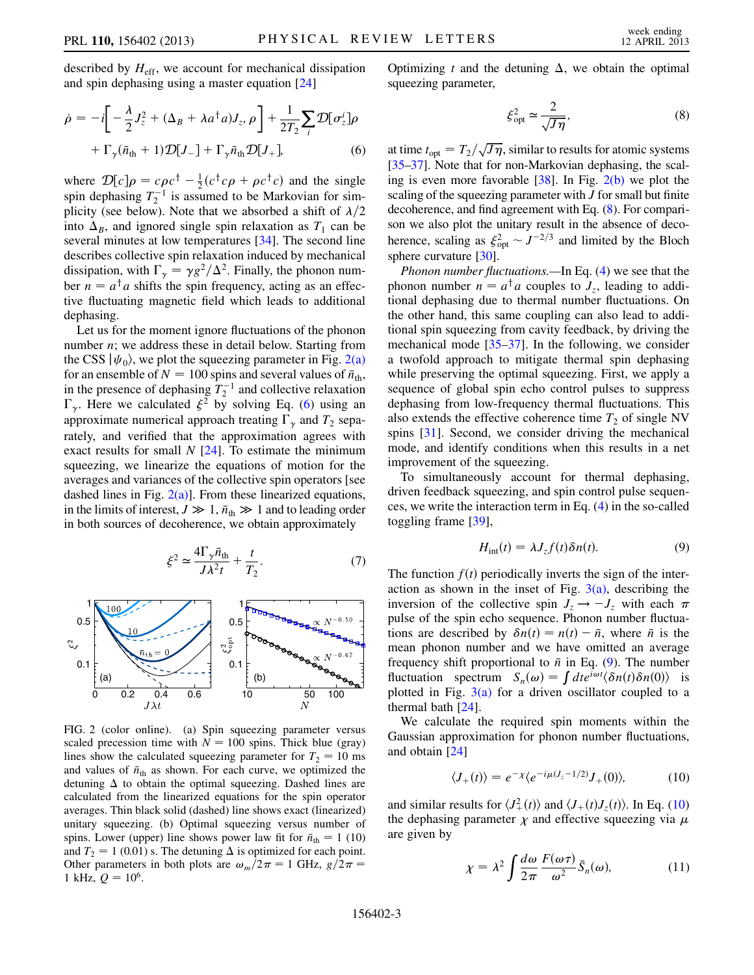described by  $H_{\text{eff}}$ , we account for mechanical dissipation and spin dephasing using a master equation [\[24\]](#page-4-19)

<span id="page-2-1"></span>
$$
\dot{\rho} = -i \left[ -\frac{\lambda}{2} J_z^2 + (\Delta_B + \lambda a^\dagger a) J_z, \rho \right] + \frac{1}{2T_2} \sum_i \mathcal{D} [\sigma_z^i] \rho
$$

$$
+ \Gamma_\gamma (\bar{n}_{\text{th}} + 1) \mathcal{D} [J_-] + \Gamma_\gamma \bar{n}_{\text{th}} \mathcal{D} [J_+], \tag{6}
$$

where  $\mathcal{D}[c]\rho = c\rho c^{\dagger} - \frac{1}{2}(c^{\dagger}c\rho + \rho c^{\dagger}c)$  and the single<br>spin dephasing  $T^{-1}$  is assumed to be Markovian for simspin dephasing  $T_2^{-1}$  is assumed to be Markovian for simplicity (see below). Note that we absorbed a shift of  $\lambda/2$ into  $\Delta_B$ , and ignored single spin relaxation as  $T_1$  can be several minutes at low temperatures [\[34\]](#page-4-29). The second line describes collective spin relaxation induced by mechanical dissipation, with  $\Gamma_{\gamma} = \gamma g^2 / \Delta^2$ . Finally, the phonon number  $n = a^{\dagger} a$  shifts the spin frequency, acting as an effective fluctuating magnetic field which leads to additional dephasing.

Let us for the moment ignore fluctuations of the phonon number  $n$ ; we address these in detail below. Starting from the CSS  $|\psi_0\rangle$ , we plot the squeezing parameter in Fig. [2\(a\)](#page-2-0) for an ensemble of  $N = 100$  spins and several values of  $\bar{n}_{\text{th}}$ ,<br>in the presence of dephasing  $T^{-1}$  and collective relaxation in the presence of dephasing  $T_2^{-1}$  and collective relaxation  $\Gamma_{\gamma}$ . Here we calculated  $\xi^2$  by solving Eq. ([6\)](#page-2-1) using an approximate numerical approach treating  $\Gamma_{\gamma}$  and  $T_2$  separately, and verified that the approximation agrees with exact results for small  $N$  [\[24\]](#page-4-19). To estimate the minimum squeezing, we linearize the equations of motion for the averages and variances of the collective spin operators [see dashed lines in Fig.  $2(a)$ ]. From these linearized equations, in the limits of interest,  $J \gg 1$ ,  $\bar{n}_{\text{th}} \gg 1$  and to leading order<br>in both sources of decoherence, we obtain approximately in both sources of decoherence, we obtain approximately

$$
\xi^2 \simeq \frac{4\Gamma_\gamma \bar{n}_{\text{th}}}{J\lambda^2 t} + \frac{t}{T_2}.\tag{7}
$$

<span id="page-2-5"></span>

<span id="page-2-0"></span>FIG. 2 (color online). (a) Spin squeezing parameter versus scaled precession time with  $N = 100$  spins. Thick blue (gray) lines show the calculated squeezing parameter for  $T_2 = 10$  ms and values of  $\bar{n}_{\text{th}}$  as shown. For each curve, we optimized the detuning  $\Delta$  to obtain the optimal squeezing. Dashed lines are calculated from the linearized equations for the spin operator averages. Thin black solid (dashed) line shows exact (linearized) unitary squeezing. (b) Optimal squeezing versus number of spins. Lower (upper) line shows power law fit for  $\bar{n}_{\text{th}} = 1$  (10) and  $T_{\text{e}} = 1$  (0.01) s. The detuning  $\Lambda$  is optimized for each point and  $T_2 = 1$  (0.01) s. The detuning  $\Delta$  is optimized for each point. Other parameters in both plots are  $\omega_m/2\pi = 1$  GHz,  $g/2\pi = 1$  kHz,  $\Omega = 10^6$ 1 kHz,  $Q = 10^6$ .

<span id="page-2-2"></span>Optimizing t and the detuning  $\Delta$ , we obtain the optimal squeezing parameter,

$$
\xi_{\rm opt}^2 \simeq \frac{2}{\sqrt{J\eta}},\tag{8}
$$

at time  $t_{\text{opt}} = T_2/\sqrt{J\eta}$ , similar to results for atomic systems<br>135, 371. Note that for non-Markovian dephasing, the scal-[\[35–](#page-4-30)[37\]](#page-4-31). Note that for non-Markovian dephasing, the scaling is even more favorable [\[38](#page-4-32)]. In Fig. [2\(b\)](#page-2-0) we plot the scaling of the squeezing parameter with  $J$  for small but finite decoherence, and find agreement with Eq. ([8\)](#page-2-2). For comparison we also plot the unitary result in the absence of decoherence, scaling as  $\xi_{\text{opt}}^2 \sim J^{-2/3}$  and limited by the Bloch<br>sphere curvature [30] sphere curvature [[30\]](#page-4-25).

Phonon number fluctuations.—In Eq. [\(4](#page-1-1)) we see that the phonon number  $n = a^{\dagger} a$  couples to  $J_z$ , leading to additional dephasing due to thermal number fluctuations. On the other hand, this same coupling can also lead to additional spin squeezing from cavity feedback, by driving the mechanical mode  $[35-37]$  $[35-37]$  $[35-37]$  $[35-37]$ . In the following, we consider a twofold approach to mitigate thermal spin dephasing while preserving the optimal squeezing. First, we apply a sequence of global spin echo control pulses to suppress dephasing from low-frequency thermal fluctuations. This also extends the effective coherence time  $T_2$  of single NV spins [\[31\]](#page-4-26). Second, we consider driving the mechanical mode, and identify conditions when this results in a net improvement of the squeezing.

<span id="page-2-3"></span>To simultaneously account for thermal dephasing, driven feedback squeezing, and spin control pulse sequences, we write the interaction term in Eq. ([4\)](#page-1-1) in the so-called toggling frame [[39](#page-4-33)],

$$
H_{\text{int}}(t) = \lambda J_z f(t) \delta n(t). \tag{9}
$$

The function  $f(t)$  periodically inverts the sign of the interaction as shown in the inset of Fig.  $3(a)$ , describing the inversion of the collective spin  $J_z \rightarrow -J_z$  with each  $\pi$ <br>pulse of the spin echo sequence. Phonon number fluctuapulse of the spin echo sequence. Phonon number fluctuations are described by  $\delta n(t) = n(t) - \bar{n}$ , where  $\bar{n}$  is the mean phonon number and we have omitted an average mean phonon number and we have omitted an average frequency shift proportional to  $\bar{n}$  in Eq. ([9](#page-2-3)). The number fluctuation spectrum  $S_n(\omega) = \int dt e^{i\omega t} \langle \delta n(t) \delta n(0) \rangle$  is plotted in Fig.  $3(a)$  for a driven oscillator coupled to a thermal bath [[24](#page-4-19)].

<span id="page-2-4"></span>We calculate the required spin moments within the Gaussian approximation for phonon number fluctuations, and obtain [[24](#page-4-19)]

$$
\langle J_+(t) \rangle = e^{-\chi} \langle e^{-i\mu (J_z - 1/2)} J_+(0) \rangle, \tag{10}
$$

<span id="page-2-6"></span>and similar results for  $\langle J_+^2(t) \rangle$  and  $\langle J_+(t)J_z(t) \rangle$ . In Eq. [\(10\)](#page-2-4)<br>the dephasing parameter  $\nu$  and effective squeezing via  $\mu$ the dephasing parameter  $\chi$  and effective squeezing via  $\mu$ are given by

$$
\chi = \lambda^2 \int \frac{d\omega}{2\pi} \frac{F(\omega \tau)}{\omega^2} \bar{S}_n(\omega), \tag{11}
$$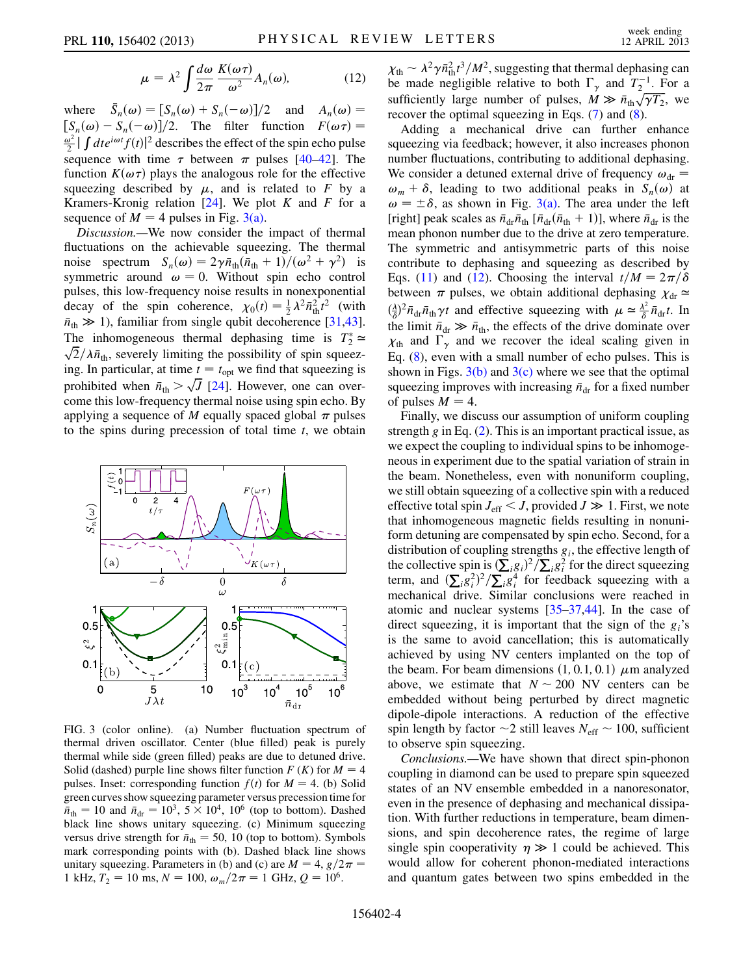$$
\mu = \lambda^2 \int \frac{d\omega}{2\pi} \frac{K(\omega \tau)}{\omega^2} A_n(\omega), \tag{12}
$$

where  $\bar{S}$  $n_n(\omega) = [S_n(\omega) + S_n(-\omega)]/2$  and  $A_n(\omega) =$ <br>S<sub>n</sub>(-\ine \int\_{\sigma\_{\sigma\_{\sigma\_{\sigma\_{\sigma\_{\sigma\_{\sigma\_{\sigma\_{\sigma\_{\sigma\_{\sigma\_{\sigma\_{\sigma\_}}}}}  $[S_n(\omega) - S_n(-\omega)]/2$ . The filter function  $F(\omega \tau) =$  $\frac{\pi}{2}$  j are  $\frac{\pi}{2}$  j are  $\frac{\pi}{2}$  (t) energies the effect of the spin echo pulses sequence with time  $\tau$  between  $\pi$  pulses [\[40](#page-4-34)–[42](#page-4-35)]. The  $\frac{\omega^2}{2}$   $\int dt e^{i\omega t} f(t)$ <sup>2</sup> describes the effect of the spin echo pulse function  $K(\omega \tau)$  plays the analogous role for the effective squeezing described by  $\mu$ , and is related to F by a Kramers-Kronig relation  $[24]$ . We plot K and F for a sequence of  $M = 4$  pulses in Fig. [3\(a\)](#page-3-0).

Discussion.—We now consider the impact of thermal fluctuations on the achievable squeezing. The thermal noise spectrum  $S_n(\omega) = 2\gamma \bar{n}_{\text{th}} (\bar{n}_{\text{th}} + 1) / (\omega^2 + \gamma^2)$  is<br>symmetric around  $\omega = 0$  Without spin echo control symmetric around  $\omega = 0$ . Without spin echo control pulses, this low-frequency noise results in nonexponential decay of the spin coherence,  $\chi_0(t) = \frac{1}{2} \lambda^2 \bar{n}_{\text{th}}^2 t^2$  (with  $\bar{n} \gg 1$ ) familiar from single qubit decoherence [31.43]  $\bar{n}_{\text{th}} \gg 1$ ), familiar from single qubit decoherence [\[31](#page-4-26)[,43\]](#page-4-36).<br>The inhomogeneous thermal dephasing time is  $T^* \sim$ The inhomogeneous thermal dephasing time is  $T_2^*$ The innomogeneous thermal dephasing time is  $I_2 \simeq \sqrt{2}/\lambda \bar{n}_{\text{th}}$ , severely limiting the possibility of spin squeezing. In particular, at time  $t = t_{opt}$  we find that squeezing is prohibited when  $\bar{n}_{\text{th}} > \sqrt{J}$  [\[24](#page-4-19)]. However, one can overcome this low-frequency thermal noise using spin echo. By applying a sequence of M equally spaced global  $\pi$  pulses to the spins during precession of total time  $t$ , we obtain



<span id="page-3-0"></span>FIG. 3 (color online). (a) Number fluctuation spectrum of thermal driven oscillator. Center (blue filled) peak is purely thermal while side (green filled) peaks are due to detuned drive. Solid (dashed) purple line shows filter function  $F(K)$  for  $M = 4$ pulses. Inset: corresponding function  $f(t)$  for  $M = 4$ . (b) Solid green curves show squeezing parameter versus precession time for  $\overline{n}_{\text{th}} = 10$  and  $\overline{n}_{\text{dr}} = 10^3$ ,  $5 \times 10^4$ ,  $10^6$  (top to bottom). Dashed black line shows unitary squeezing (c) Minimum squeezing black line shows unitary squeezing. (c) Minimum squeezing versus drive strength for  $\bar{n}_{\text{th}} = 50$ , 10 (top to bottom). Symbols<br>mark corresponding points with (b). Dashed black line shows mark corresponding points with (b). Dashed black line shows unitary squeezing. Parameters in (b) and (c) are  $M = 4$ ,  $g/2\pi = 1$  kHz,  $T_2 = 10$  ms,  $N = 100$  (e)  $/2\pi = 1$  GHz,  $Q = 10^6$ 1 kHz,  $T_2 = 10$  ms,  $N = 100$ ,  $\omega_m/2\pi = 1$  GHz,  $Q = 10^6$ .

 $\chi_{\text{th}} \sim \lambda^2 \gamma \bar{n}_{\text{th}}^2 t^3 / M^2$ , suggesting that thermal dephasing can<br>be made negligible relative to both  $\Gamma$  and  $T^{-1}$ . For a be made negligible relative to both  $\Gamma_{\gamma}$  and  $T_2^{-1}$ . For a sufficiently large number of pulses,  $\dot{M} \gg \bar{n}_{\text{th}} \sqrt{\gamma T_2}$ , we recover the optimal squeezing in Eqs. (7) and (8) recover the optimal squeezing in Eqs. [\(7](#page-2-5)) and ([8\)](#page-2-2).

Adding a mechanical drive can further enhance squeezing via feedback; however, it also increases phonon number fluctuations, contributing to additional dephasing. We consider a detuned external drive of frequency  $\omega_{dr}$  =  $\omega_m + \delta$ , leading to two additional peaks in  $S_n(\omega)$  at  $\omega = \pm \delta$ , as shown in Fig. [3\(a\).](#page-3-0) The area under the left [right] peak scales as  $\bar{n}_{dr}\bar{n}_{th}$  [ $\bar{n}_{dr}(\bar{n}_{th} + 1)$ ], where  $\bar{n}_{dr}$  is the mean phonon number due to the drive at zero temperature mean phonon number due to the drive at zero temperature. The symmetric and antisymmetric parts of this noise contribute to dephasing and squeezing as described by Eqs. (11) and [\(12\)](#page-2-6). Choosing the interval  $t/M = 2\pi/\delta$ <br>between  $\pi$  pulses, we obtain additional dephasing  $v_i \approx$ between  $\pi$  pulses, we obtain additional dephasing  $\chi_{dr} \simeq$  $\chi_{\delta}$ ,  $n_{dr}n_{th}$  and critective squeezing with  $\mu = \delta n_{dr}$ . In<br>the limit  $\bar{n}_{dr} \gg \bar{n}_{th}$ , the effects of the drive dominate over<br> $\chi_{\delta}$  and  $\Gamma$  and we recover the ideal scaling given in  $\frac{\lambda}{\delta}$ )<sup>2</sup> $\bar{n}_{dr}\bar{n}_{dr}\gamma t$  and effective squeezing with  $\mu \approx \frac{\lambda^2}{\delta} \bar{n}_{dr}t$ . In  $\chi$ <sub>th</sub> and  $\overline{\Gamma_{\gamma}}$  and we recover the ideal scaling given in Eq. ([8](#page-2-2)), even with a small number of echo pulses. This is shown in Figs.  $3(b)$  and  $3(c)$  where we see that the optimal squeezing improves with increasing  $\bar{n}_{dr}$  for a fixed number of pulses  $M = 4$ .

Finally, we discuss our assumption of uniform coupling strength g in Eq.  $(2)$  $(2)$  $(2)$ . This is an important practical issue, as we expect the coupling to individual spins to be inhomogeneous in experiment due to the spatial variation of strain in the beam. Nonetheless, even with nonuniform coupling, we still obtain squeezing of a collective spin with a reduced effective total spin  $J_{\text{eff}} < J$ , provided  $J \gg 1$ . First, we note that inhomogeneous magnetic fields resulting in nonuniform detuning are compensated by spin echo. Second, for a distribution of coupling strengths  $g_i$ , the effective length of the collective spin is  $(\sum_{i} g_i)^2 / \sum_{i} g_i^2$  for the direct squeezing<br>term, and  $(\sum_{i} g_i)^2 / \sum_{i} g_i^4$  for feedback squeezing with a term, and  $(\sum_{i}^{1} g_{i}^{2})$ <br>mechanical drive  $\sqrt[2]{\sum_i g_i^4}$  for feedback squeezing with a mechanical drive. Similar conclusions were reached in atomic and nuclear systems [\[35–](#page-4-30)[37](#page-4-31)[,44\]](#page-4-37). In the case of direct squeezing, it is important that the sign of the  $g_i$ 's is the same to avoid cancellation; this is automatically achieved by using NV centers implanted on the top of the beam. For beam dimensions  $(1, 0.1, 0.1)$   $\mu$ m analyzed above, we estimate that  $N \sim 200$  NV centers can be embedded without being perturbed by direct magnetic embedded without being perturbed by direct magnetic dipole-dipole interactions. A reduction of the effective spin length by factor  $\sim$ 2 still leaves  $N_{\text{eff}} \sim$  100, sufficient to observe spin squeezing to observe spin squeezing.

Conclusions.—We have shown that direct spin-phonon coupling in diamond can be used to prepare spin squeezed states of an NV ensemble embedded in a nanoresonator, even in the presence of dephasing and mechanical dissipation. With further reductions in temperature, beam dimensions, and spin decoherence rates, the regime of large single spin cooperativity  $\eta \gg 1$  could be achieved. This would allow for coherent phonon-mediated interactions and quantum gates between two spins embedded in the